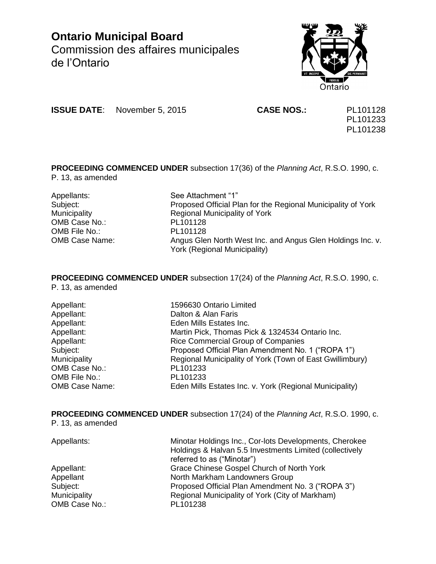**Ontario Municipal Board** Commission des affaires municipales de l'Ontario



**ISSUE DATE**: November 5, 2015 **CASE NOS.:** PL101128

PL101233 PL101238

**PROCEEDING COMMENCED UNDER** subsection 17(36) of the *Planning Act*, R.S.O. 1990, c. P. 13, as amended

Appellants: See Attachment "1" OMB Case No.: PL101128 OMB File No.: PL101128

Subject: Proposed Official Plan for the Regional Municipality of York Municipality **Municipality** Regional Municipality of York OMB Case Name: Angus Glen North West Inc. and Angus Glen Holdings Inc. v. York (Regional Municipality)

**PROCEEDING COMMENCED UNDER** subsection 17(24) of the *Planning Act*, R.S.O. 1990, c. P. 13, as amended

| Appellant:            | 1596630 Ontario Limited                                  |
|-----------------------|----------------------------------------------------------|
| Appellant:            | Dalton & Alan Faris                                      |
| Appellant:            | Eden Mills Estates Inc.                                  |
| Appellant:            | Martin Pick, Thomas Pick & 1324534 Ontario Inc.          |
| Appellant:            | Rice Commercial Group of Companies                       |
| Subject:              | Proposed Official Plan Amendment No. 1 ("ROPA 1")        |
| Municipality          | Regional Municipality of York (Town of East Gwillimbury) |
| OMB Case No.:         | PL101233                                                 |
| OMB File No.:         | PL101233                                                 |
| <b>OMB Case Name:</b> | Eden Mills Estates Inc. v. York (Regional Municipality)  |

**PROCEEDING COMMENCED UNDER** subsection 17(24) of the *Planning Act*, R.S.O. 1990, c. P. 13, as amended

| Appellants:   | Minotar Holdings Inc., Cor-lots Developments, Cherokee<br>Holdings & Halvan 5.5 Investments Limited (collectively<br>referred to as ("Minotar") |
|---------------|-------------------------------------------------------------------------------------------------------------------------------------------------|
| Appellant:    | Grace Chinese Gospel Church of North York                                                                                                       |
| Appellant     | North Markham Landowners Group                                                                                                                  |
| Subject:      | Proposed Official Plan Amendment No. 3 ("ROPA 3")                                                                                               |
| Municipality  | Regional Municipality of York (City of Markham)                                                                                                 |
| OMB Case No.: | PL101238                                                                                                                                        |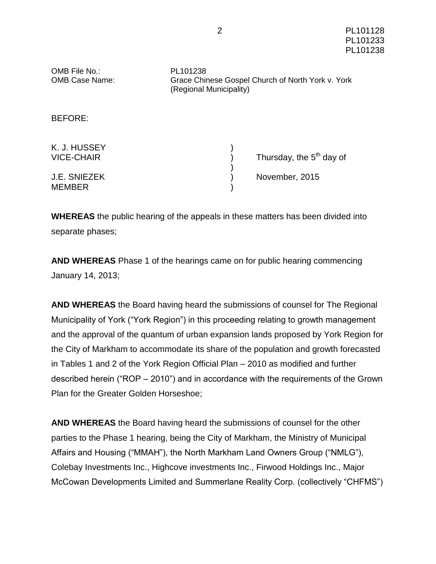| OMB File No.:<br><b>OMB Case Name:</b> | PL101238<br>Grace Chinese Gospel Church of North York v. York<br>(Regional Municipality) |                                      |  |
|----------------------------------------|------------------------------------------------------------------------------------------|--------------------------------------|--|
| <b>BEFORE:</b>                         |                                                                                          |                                      |  |
| K. J. HUSSEY<br><b>VICE-CHAIR</b>      |                                                                                          | Thursday, the 5 <sup>th</sup> day of |  |
| <b>J.E. SNIEZEK</b><br><b>MEMBER</b>   |                                                                                          | November, 2015                       |  |

**WHEREAS** the public hearing of the appeals in these matters has been divided into separate phases;

**AND WHEREAS** Phase 1 of the hearings came on for public hearing commencing January 14, 2013;

**AND WHEREAS** the Board having heard the submissions of counsel for The Regional Municipality of York ("York Region") in this proceeding relating to growth management and the approval of the quantum of urban expansion lands proposed by York Region for the City of Markham to accommodate its share of the population and growth forecasted in Tables 1 and 2 of the York Region Official Plan – 2010 as modified and further described herein ("ROP – 2010") and in accordance with the requirements of the Grown Plan for the Greater Golden Horseshoe;

**AND WHEREAS** the Board having heard the submissions of counsel for the other parties to the Phase 1 hearing, being the City of Markham, the Ministry of Municipal Affairs and Housing ("MMAH"), the North Markham Land Owners Group ("NMLG"), Colebay Investments Inc., Highcove investments Inc., Firwood Holdings Inc., Major McCowan Developments Limited and Summerlane Reality Corp. (collectively "CHFMS")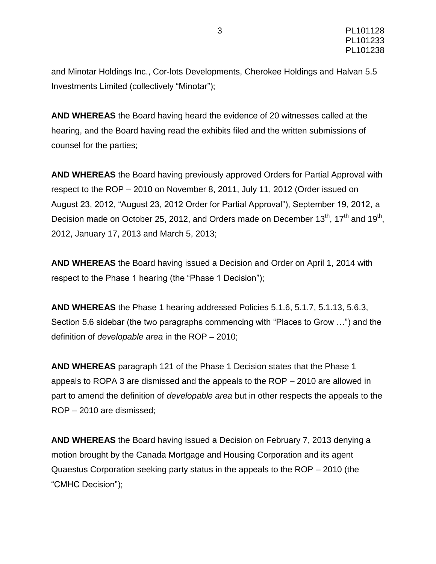and Minotar Holdings Inc., Cor-lots Developments, Cherokee Holdings and Halvan 5.5 Investments Limited (collectively "Minotar");

**AND WHEREAS** the Board having heard the evidence of 20 witnesses called at the hearing, and the Board having read the exhibits filed and the written submissions of counsel for the parties;

**AND WHEREAS** the Board having previously approved Orders for Partial Approval with respect to the ROP – 2010 on November 8, 2011, July 11, 2012 (Order issued on August 23, 2012, "August 23, 2012 Order for Partial Approval"), September 19, 2012, a Decision made on October 25, 2012, and Orders made on December 13<sup>th</sup>, 17<sup>th</sup> and 19<sup>th</sup>, 2012, January 17, 2013 and March 5, 2013;

**AND WHEREAS** the Board having issued a Decision and Order on April 1, 2014 with respect to the Phase 1 hearing (the "Phase 1 Decision");

**AND WHEREAS** the Phase 1 hearing addressed Policies 5.1.6, 5.1.7, 5.1.13, 5.6.3, Section 5.6 sidebar (the two paragraphs commencing with "Places to Grow …") and the definition of *developable area* in the ROP – 2010;

**AND WHEREAS** paragraph 121 of the Phase 1 Decision states that the Phase 1 appeals to ROPA 3 are dismissed and the appeals to the ROP – 2010 are allowed in part to amend the definition of *developable area* but in other respects the appeals to the ROP – 2010 are dismissed;

**AND WHEREAS** the Board having issued a Decision on February 7, 2013 denying a motion brought by the Canada Mortgage and Housing Corporation and its agent Quaestus Corporation seeking party status in the appeals to the ROP – 2010 (the "CMHC Decision");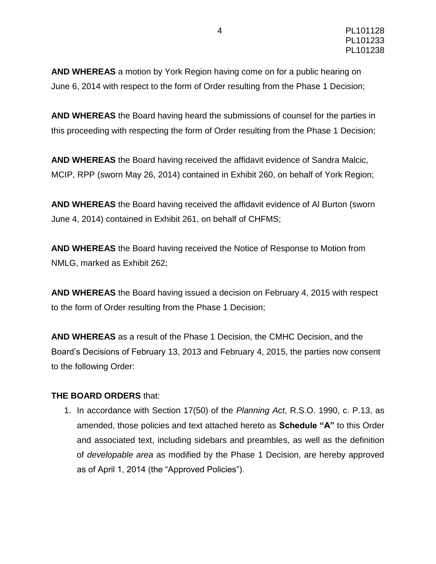**AND WHEREAS** a motion by York Region having come on for a public hearing on June 6, 2014 with respect to the form of Order resulting from the Phase 1 Decision;

**AND WHEREAS** the Board having heard the submissions of counsel for the parties in this proceeding with respecting the form of Order resulting from the Phase 1 Decision;

**AND WHEREAS** the Board having received the affidavit evidence of Sandra Malcic, MCIP, RPP (sworn May 26, 2014) contained in Exhibit 260, on behalf of York Region;

**AND WHEREAS** the Board having received the affidavit evidence of Al Burton (sworn June 4, 2014) contained in Exhibit 261, on behalf of CHFMS;

**AND WHEREAS** the Board having received the Notice of Response to Motion from NMLG, marked as Exhibit 262;

**AND WHEREAS** the Board having issued a decision on February 4, 2015 with respect to the form of Order resulting from the Phase 1 Decision;

**AND WHEREAS** as a result of the Phase 1 Decision, the CMHC Decision, and the Board's Decisions of February 13, 2013 and February 4, 2015, the parties now consent to the following Order:

#### **THE BOARD ORDERS** that:

1. In accordance with Section 17(50) of the *Planning Act*, R.S.O. 1990, c. P.13, as amended, those policies and text attached hereto as **Schedule "A"** to this Order and associated text, including sidebars and preambles, as well as the definition of *developable area* as modified by the Phase 1 Decision, are hereby approved as of April 1, 2014 (the "Approved Policies").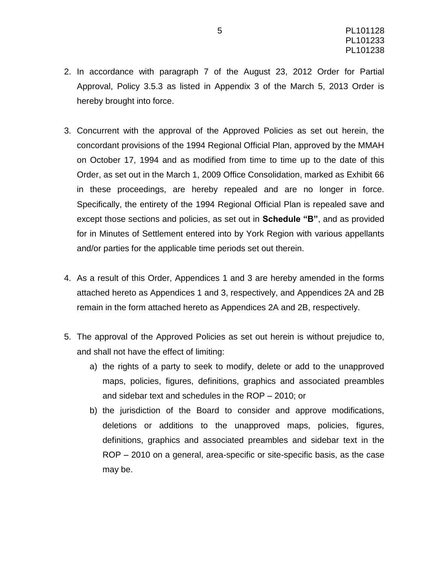- 2. In accordance with paragraph 7 of the August 23, 2012 Order for Partial Approval, Policy 3.5.3 as listed in Appendix 3 of the March 5, 2013 Order is hereby brought into force.
- 3. Concurrent with the approval of the Approved Policies as set out herein, the concordant provisions of the 1994 Regional Official Plan, approved by the MMAH on October 17, 1994 and as modified from time to time up to the date of this Order, as set out in the March 1, 2009 Office Consolidation, marked as Exhibit 66 in these proceedings, are hereby repealed and are no longer in force. Specifically, the entirety of the 1994 Regional Official Plan is repealed save and except those sections and policies, as set out in **Schedule "B"**, and as provided for in Minutes of Settlement entered into by York Region with various appellants and/or parties for the applicable time periods set out therein.
- 4. As a result of this Order, Appendices 1 and 3 are hereby amended in the forms attached hereto as Appendices 1 and 3, respectively, and Appendices 2A and 2B remain in the form attached hereto as Appendices 2A and 2B, respectively.
- 5. The approval of the Approved Policies as set out herein is without prejudice to, and shall not have the effect of limiting:
	- a) the rights of a party to seek to modify, delete or add to the unapproved maps, policies, figures, definitions, graphics and associated preambles and sidebar text and schedules in the ROP – 2010; or
	- b) the jurisdiction of the Board to consider and approve modifications, deletions or additions to the unapproved maps, policies, figures, definitions, graphics and associated preambles and sidebar text in the ROP – 2010 on a general, area-specific or site-specific basis, as the case may be.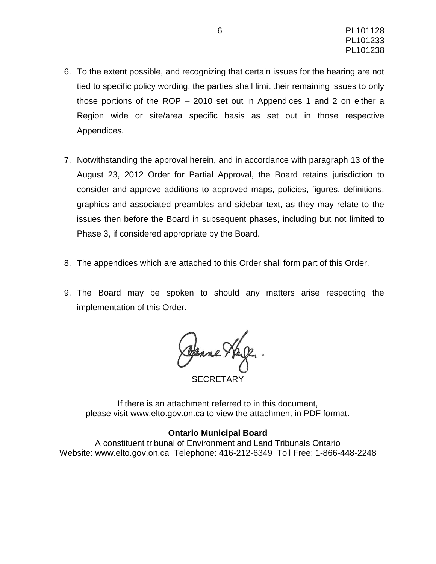- 6. To the extent possible, and recognizing that certain issues for the hearing are not tied to specific policy wording, the parties shall limit their remaining issues to only those portions of the ROP – 2010 set out in Appendices 1 and 2 on either a Region wide or site/area specific basis as set out in those respective Appendices.
- 7. Notwithstanding the approval herein, and in accordance with paragraph 13 of the August 23, 2012 Order for Partial Approval, the Board retains jurisdiction to consider and approve additions to approved maps, policies, figures, definitions, graphics and associated preambles and sidebar text, as they may relate to the issues then before the Board in subsequent phases, including but not limited to Phase 3, if considered appropriate by the Board.
- 8. The appendices which are attached to this Order shall form part of this Order.
- 9. The Board may be spoken to should any matters arise respecting the implementation of this Order.

Openne Hage

SECRETARY

If there is an attachment referred to in this document, please visit www.elto.gov.on.ca to view the attachment in PDF format.

#### **Ontario Municipal Board**

A constituent tribunal of Environment and Land Tribunals Ontario Website: www.elto.gov.on.ca Telephone: 416-212-6349 Toll Free: 1-866-448-2248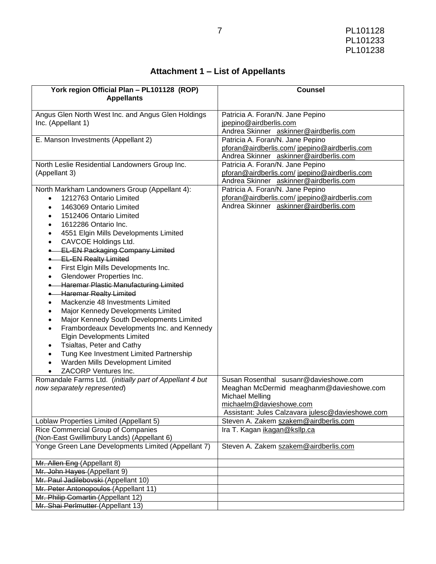| Attachment 1 – List of Appellants |  |  |  |
|-----------------------------------|--|--|--|
|-----------------------------------|--|--|--|

| York region Official Plan - PL101128 (ROP)                                    | <b>Counsel</b>                                                                            |
|-------------------------------------------------------------------------------|-------------------------------------------------------------------------------------------|
| <b>Appellants</b>                                                             |                                                                                           |
|                                                                               |                                                                                           |
| Angus Glen North West Inc. and Angus Glen Holdings<br>Inc. (Appellant 1)      | Patricia A. Foran/N. Jane Pepino<br>jpepino@airdberlis.com                                |
|                                                                               | Andrea Skinner askinner@airdberlis.com                                                    |
| E. Manson Investments (Appellant 2)                                           | Patricia A. Foran/N. Jane Pepino                                                          |
|                                                                               | pforan@airdberlis.com/jpepino@airdberlis.com                                              |
|                                                                               | Andrea Skinner askinner@airdberlis.com                                                    |
| North Leslie Residential Landowners Group Inc.                                | Patricia A. Foran/N. Jane Pepino                                                          |
| (Appellant 3)                                                                 | pforan@airdberlis.com/jpepino@airdberlis.com                                              |
|                                                                               | Andrea Skinner askinner@airdberlis.com                                                    |
| North Markham Landowners Group (Appellant 4):                                 | Patricia A. Foran/N. Jane Pepino                                                          |
| 1212763 Ontario Limited                                                       | pforan@airdberlis.com/jpepino@airdberlis.com                                              |
| 1463069 Ontario Limited                                                       | Andrea Skinner askinner@airdberlis.com                                                    |
| 1512406 Ontario Limited                                                       |                                                                                           |
| 1612286 Ontario Inc.                                                          |                                                                                           |
| 4551 Elgin Mills Developments Limited                                         |                                                                                           |
| CAVCOE Holdings Ltd.                                                          |                                                                                           |
| <b>EL-EN Packaging Company Limited</b>                                        |                                                                                           |
| <b>EL-EN Realty Limited</b>                                                   |                                                                                           |
| First Elgin Mills Developments Inc.                                           |                                                                                           |
| Glendower Properties Inc.                                                     |                                                                                           |
| Haremar Plastic Manufacturing Limited                                         |                                                                                           |
| <b>.</b> Haremar Realty Limited                                               |                                                                                           |
| Mackenzie 48 Investments Limited                                              |                                                                                           |
| Major Kennedy Developments Limited                                            |                                                                                           |
| Major Kennedy South Developments Limited<br>$\bullet$                         |                                                                                           |
| Frambordeaux Developments Inc. and Kennedy                                    |                                                                                           |
| <b>Elgin Developments Limited</b>                                             |                                                                                           |
| Tsialtas, Peter and Cathy<br>٠                                                |                                                                                           |
| Tung Kee Investment Limited Partnership<br>$\bullet$                          |                                                                                           |
| Warden Mills Development Limited                                              |                                                                                           |
| ZACORP Ventures Inc.                                                          |                                                                                           |
| Romandale Farms Ltd. (initially part of Appellant 4 but                       | Susan Rosenthal susanr@davieshowe.com                                                     |
| now separately represented)                                                   | Meaghan McDermid meaghanm@davieshowe.com                                                  |
|                                                                               | <b>Michael Melling</b>                                                                    |
|                                                                               | michaelm@davieshowe.com                                                                   |
|                                                                               | Assistant: Jules Calzavara julesc@davieshowe.com<br>Steven A. Zakem szakem@airdberlis.com |
| Loblaw Properties Limited (Appellant 5)<br>Rice Commercial Group of Companies | Ira T. Kagan ikagan@ksllp.ca                                                              |
| (Non-East Gwillimbury Lands) (Appellant 6)                                    |                                                                                           |
| Yonge Green Lane Developments Limited (Appellant 7)                           | Steven A. Zakem szakem@airdberlis.com                                                     |
|                                                                               |                                                                                           |
| Mr. Allen Eng (Appellant 8)                                                   |                                                                                           |
| Mr. John Hayes (Appellant 9)                                                  |                                                                                           |
| Mr. Paul Jadilebovski (Appellant 10)                                          |                                                                                           |
| Mr. Peter Antonopoulos (Appellant 11)                                         |                                                                                           |
| Mr. Philip Comartin (Appellant 12)                                            |                                                                                           |
| Mr. Shai Perlmutter (Appellant 13)                                            |                                                                                           |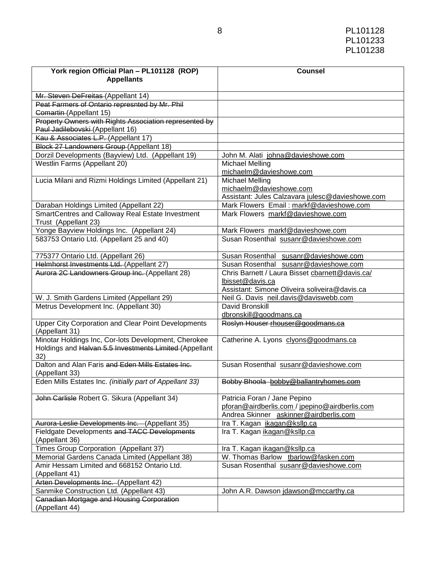| York region Official Plan - PL101128 (ROP)                                | <b>Counsel</b>                                                    |
|---------------------------------------------------------------------------|-------------------------------------------------------------------|
| <b>Appellants</b>                                                         |                                                                   |
|                                                                           |                                                                   |
| Mr. Steven DeFreitas (Appellant 14)                                       |                                                                   |
| Peat Farmers of Ontario represnted by Mr. Phil<br>Comartin (Appellant 15) |                                                                   |
| Property Owners with Rights Association represented by                    |                                                                   |
| Paul Jadilebovski (Appellant 16)                                          |                                                                   |
| Kau & Associates L.P. (Appellant 17)                                      |                                                                   |
| Block 27 Landowners Group (Appellant 18)                                  |                                                                   |
| Dorzil Developments (Bayview) Ltd. (Appellant 19)                         | John M. Alati johna@davieshowe.com                                |
| Westlin Farms (Appellant 20)                                              | <b>Michael Melling</b><br>michaelm@davieshowe.com                 |
| Lucia Milani and Rizmi Holdings Limited (Appellant 21)                    | <b>Michael Melling</b>                                            |
|                                                                           | michaelm@davieshowe.com                                           |
|                                                                           | Assistant: Jules Calzavara julesc@davieshowe.com                  |
| Daraban Holdings Limited (Appellant 22)                                   | Mark Flowers Email: markf@davieshowe.com                          |
| SmartCentres and Calloway Real Estate Investment                          | Mark Flowers markf@davieshowe.com                                 |
| Trust (Appellant 23)                                                      |                                                                   |
| Yonge Bayview Holdings Inc. (Appellant 24)                                | Mark Flowers markf@davieshowe.com                                 |
| 583753 Ontario Ltd. (Appellant 25 and 40)                                 | Susan Rosenthal susanr@davieshowe.com                             |
| 775377 Ontario Ltd. (Appellant 26)                                        | Susan Rosenthal susanr@davieshowe.com                             |
| Helmhorst Investments Ltd. (Appellant 27)                                 | Susan Rosenthal susanr@davieshowe.com                             |
| Aurora 2C Landowners Group Inc. (Appellant 28)                            | Chris Barnett / Laura Bisset charnett@davis.ca/                   |
|                                                                           | lbisset@davis.ca<br>Assistant: Simone Oliveira soliveira@davis.ca |
| W. J. Smith Gardens Limited (Appellant 29)                                | Neil G. Davis neil.davis@daviswebb.com                            |
| Metrus Development Inc. (Appellant 30)                                    | David Bronskill                                                   |
|                                                                           | dbronskill@goodmans.ca                                            |
| Upper City Corporation and Clear Point Developments                       | Roslyn Houser rhouser@goodmans.ca                                 |
| (Appellant 31)                                                            |                                                                   |
| Minotar Holdings Inc, Cor-lots Development, Cherokee                      | Catherine A. Lyons clyons@goodmans.ca                             |
| Holdings and Halvan 5.5 Investments Limited (Appellant                    |                                                                   |
| 32)                                                                       |                                                                   |
| Dalton and Alan Faris and Eden Mills Estates Inc.<br>(Appellant 33)       | Susan Rosenthal susanr@davieshowe.com                             |
| Eden Mills Estates Inc. (initially part of Appellant 33)                  | Bobby Bhoola bobby@ballantryhomes.com                             |
| John Carlisle Robert G. Sikura (Appellant 34)                             | Patricia Foran / Jane Pepino                                      |
|                                                                           | pforan@airdberlis.com / jpepino@airdberlis.com                    |
|                                                                           | Andrea Skinner askinner@airdberlis.com                            |
| Aurora-Leslie Developments Inc. (Appellant 35)                            | Ira T. Kagan ikagan@ksllp.ca                                      |
| Fieldgate Developments and TACC Developments                              | Ira T. Kagan ikagan@ksllp.ca                                      |
| (Appellant 36)                                                            |                                                                   |
| Times Group Corporation (Appellant 37)                                    | Ira T. Kagan ikagan@ksllp.ca                                      |
| Memorial Gardens Canada Limited (Appellant 38)                            | W. Thomas Barlow tbarlow@fasken.com                               |
| Amir Hessam Limited and 668152 Ontario Ltd.                               | Susan Rosenthal susanr@davieshowe.com                             |
| (Appellant 41)                                                            |                                                                   |
| Arten Developments Inc. (Appellant 42)                                    |                                                                   |
| Sanmike Construction Ltd. (Appellant 43)                                  | John A.R. Dawson jdawson@mccarthy.ca                              |
| <b>Canadian Mortgage and Housing Corporation</b>                          |                                                                   |
| (Appellant 44)                                                            |                                                                   |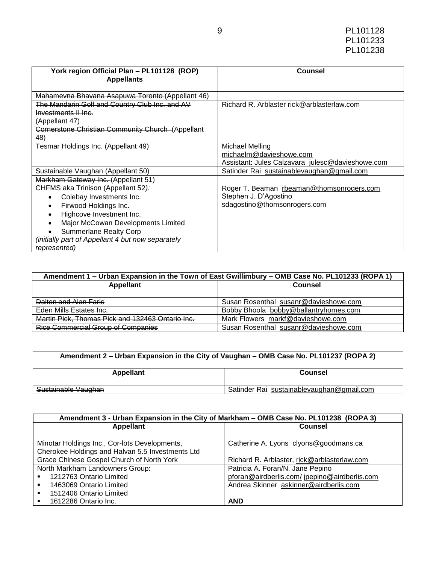| York region Official Plan - PL101128 (ROP)<br><b>Appellants</b>   | Counsel                                                                                        |  |
|-------------------------------------------------------------------|------------------------------------------------------------------------------------------------|--|
| Mahamevna Bhavana Asapuwa Toronto (Appellant 46)                  |                                                                                                |  |
| The Mandarin Golf and Country Club Inc. and AV                    | Richard R. Arblaster rick@arblasterlaw.com                                                     |  |
| Investments II Inc.                                               |                                                                                                |  |
| (Appellant 47)                                                    |                                                                                                |  |
| Cornerstone Christian Community Church (Appellant<br>48)          |                                                                                                |  |
| Tesmar Holdings Inc. (Appellant 49)                               | Michael Melling<br>michaelm@davieshowe.com<br>Assistant: Jules Calzavara julesc@davieshowe.com |  |
| Sustainable Vaughan (Appellant 50)                                | Satinder Rai sustainablevaughan@gmail.com                                                      |  |
| Markham Gateway Inc. (Appellant 51)                               |                                                                                                |  |
| CHFMS aka Trinison (Appellant 52):                                | Roger T. Beaman rbeaman@thomsonrogers.com                                                      |  |
| Colebay Investments Inc.<br>$\bullet$                             | Stephen J. D'Agostino                                                                          |  |
| Firwood Holdings Inc.<br>$\bullet$                                | sdagostino@thomsonrogers.com                                                                   |  |
| Highcove Investment Inc.                                          |                                                                                                |  |
| Major McCowan Developments Limited                                |                                                                                                |  |
| <b>Summerlane Realty Corp</b>                                     |                                                                                                |  |
| (initially part of Appellant 4 but now separately<br>represented) |                                                                                                |  |

| Amendment 1 – Urban Expansion in the Town of East Gwillimbury – OMB Case No. PL101233 (ROPA 1) |                                       |  |  |
|------------------------------------------------------------------------------------------------|---------------------------------------|--|--|
| <b>Appellant</b>                                                                               | Counsel                               |  |  |
|                                                                                                |                                       |  |  |
| Dalton and Alan Faris                                                                          | Susan Rosenthal susanr@davieshowe.com |  |  |
| Eden Mills Estates Inc.                                                                        | Bobby Bhoola bobby@ballantryhomes.com |  |  |
| Martin Pick, Thomas Pick and 132463 Ontario Inc.                                               | Mark Flowers markf@davieshowe.com     |  |  |
| <b>Rice Commercial Group of Companies</b>                                                      | Susan Rosenthal susanr@davieshowe.com |  |  |

| Amendment 2 – Urban Expansion in the City of Vaughan – OMB Case No. PL101237 (ROPA 2) |                                           |  |
|---------------------------------------------------------------------------------------|-------------------------------------------|--|
| Appellant                                                                             | Counsel                                   |  |
| Sustainable Vaughan                                                                   | Satinder Rai sustainablevaughan@gmail.com |  |

| Amendment 3 - Urban Expansion in the City of Markham - OMB Case No. PL101238 (ROPA 3) |                                              |  |  |
|---------------------------------------------------------------------------------------|----------------------------------------------|--|--|
| Appellant                                                                             | <b>Counsel</b>                               |  |  |
|                                                                                       |                                              |  |  |
| Minotar Holdings Inc., Cor-lots Developments,                                         | Catherine A. Lyons clyons@goodmans.ca        |  |  |
| Cherokee Holdings and Halvan 5.5 Investments Ltd                                      |                                              |  |  |
| Grace Chinese Gospel Church of North York                                             | Richard R. Arblaster, rick@arblasterlaw.com  |  |  |
| North Markham Landowners Group:                                                       | Patricia A. Foran/N. Jane Pepino             |  |  |
| 1212763 Ontario Limited                                                               | pforan@airdberlis.com/jpepino@airdberlis.com |  |  |
| 1463069 Ontario Limited<br>٠.                                                         | Andrea Skinner askinner@airdberlis.com       |  |  |
| 1512406 Ontario Limited<br>$\blacksquare$                                             |                                              |  |  |
| 1612286 Ontario Inc.                                                                  | <b>AND</b>                                   |  |  |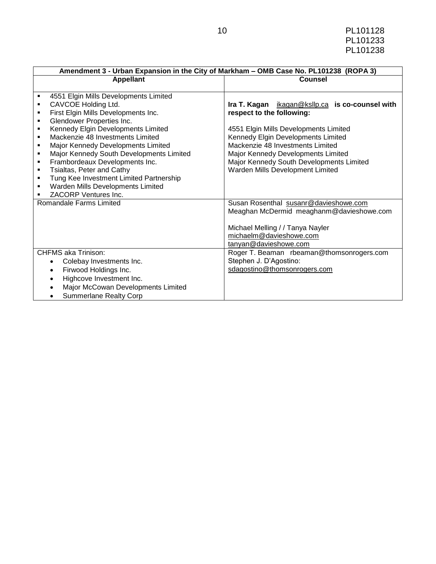|                                                                    | Amendment 3 - Urban Expansion in the City of Markham - OMB Case No. PL101238 (ROPA 3) |                                                 |  |  |
|--------------------------------------------------------------------|---------------------------------------------------------------------------------------|-------------------------------------------------|--|--|
|                                                                    | <b>Appellant</b>                                                                      | <b>Counsel</b>                                  |  |  |
|                                                                    |                                                                                       |                                                 |  |  |
| ٠                                                                  | 4551 Elgin Mills Developments Limited                                                 |                                                 |  |  |
| ٠                                                                  | CAVCOE Holding Ltd.                                                                   | Ira T. Kagan ikagan@ksllp.ca is co-counsel with |  |  |
| ٠                                                                  | First Elgin Mills Developments Inc.                                                   | respect to the following:                       |  |  |
| ٠                                                                  | Glendower Properties Inc.                                                             |                                                 |  |  |
| ٠                                                                  | Kennedy Elgin Developments Limited                                                    | 4551 Elgin Mills Developments Limited           |  |  |
| ٠                                                                  | Mackenzie 48 Investments Limited                                                      | Kennedy Elgin Developments Limited              |  |  |
| ٠                                                                  | Major Kennedy Developments Limited                                                    | Mackenzie 48 Investments Limited                |  |  |
| ٠                                                                  | Major Kennedy South Developments Limited                                              | Major Kennedy Developments Limited              |  |  |
| ٠                                                                  | Frambordeaux Developments Inc.                                                        | Major Kennedy South Developments Limited        |  |  |
| Tsialtas, Peter and Cathy<br>Warden Mills Development Limited<br>٠ |                                                                                       |                                                 |  |  |
| ٠                                                                  | Tung Kee Investment Limited Partnership                                               |                                                 |  |  |
| ٠                                                                  | Warden Mills Developments Limited                                                     |                                                 |  |  |
|                                                                    | <b>ZACORP Ventures Inc.</b>                                                           |                                                 |  |  |
|                                                                    | Romandale Farms Limited                                                               | Susan Rosenthal susanr@davieshowe.com           |  |  |
|                                                                    |                                                                                       | Meaghan McDermid meaghanm@davieshowe.com        |  |  |
|                                                                    |                                                                                       |                                                 |  |  |
|                                                                    |                                                                                       | Michael Melling / / Tanya Nayler                |  |  |
|                                                                    |                                                                                       | michaelm@davieshowe.com                         |  |  |
|                                                                    |                                                                                       | tanyan@davieshowe.com                           |  |  |
| <b>CHFMS aka Trinison:</b>                                         |                                                                                       | Roger T. Beaman rbeaman@thomsonrogers.com       |  |  |
|                                                                    | Colebay Investments Inc.<br>$\bullet$                                                 | Stephen J. D'Agostino:                          |  |  |
|                                                                    | Firwood Holdings Inc.<br>$\bullet$                                                    | sdagostino@thomsonrogers.com                    |  |  |
| Highcove Investment Inc.                                           |                                                                                       |                                                 |  |  |
| Major McCowan Developments Limited                                 |                                                                                       |                                                 |  |  |
|                                                                    | <b>Summerlane Realty Corp</b>                                                         |                                                 |  |  |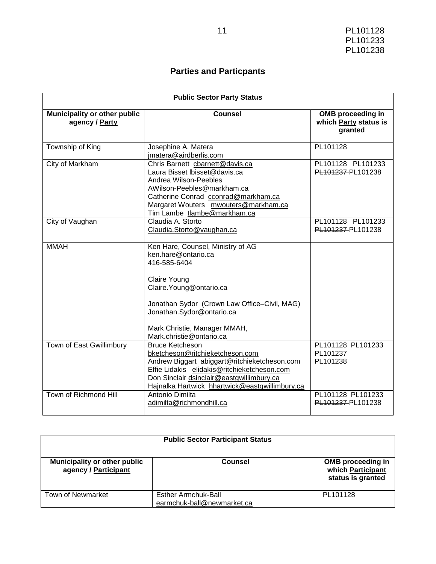# **Parties and Particpants**

| <b>Public Sector Party Status</b>              |                                                                                                                                                                                                                                                               |                                                              |  |
|------------------------------------------------|---------------------------------------------------------------------------------------------------------------------------------------------------------------------------------------------------------------------------------------------------------------|--------------------------------------------------------------|--|
| Municipality or other public<br>agency / Party | <b>Counsel</b>                                                                                                                                                                                                                                                | <b>OMB</b> proceeding in<br>which Party status is<br>granted |  |
| Township of King                               | Josephine A. Matera<br>jmatera@airdberlis.com                                                                                                                                                                                                                 | PL101128                                                     |  |
| City of Markham                                | Chris Barnett cbarnett@davis.ca<br>Laura Bisset Ibisset@davis.ca<br>Andrea Wilson-Peebles<br>AWilson-Peebles@markham.ca<br>Catherine Conrad cconrad@markham.ca<br>Margaret Wouters mwouters@markham.ca<br>Tim Lambe tlambe@markham.ca                         | PL101128 PL101233<br>PL101237-PL101238                       |  |
| City of Vaughan                                | Claudia A. Storto<br>Claudia.Storto@vaughan.ca                                                                                                                                                                                                                | PL101128 PL101233<br>PL101237-PL101238                       |  |
| <b>MMAH</b>                                    | Ken Hare, Counsel, Ministry of AG<br>ken.hare@ontario.ca<br>416-585-6404<br>Claire Young<br>Claire. Young@ontario.ca<br>Jonathan Sydor (Crown Law Office-Civil, MAG)<br>Jonathan.Sydor@ontario.ca<br>Mark Christie, Manager MMAH,<br>Mark.christie@ontario.ca |                                                              |  |
| Town of East Gwillimbury                       | <b>Bruce Ketcheson</b><br>bketcheson@ritchieketcheson.com<br>Andrew Biggart abiggart@ritchieketcheson.com<br>Effie Lidakis elidakis@ritchieketcheson.com<br>Don Sinclair dsinclair@eastgwillimbury.ca<br>Hajnalka Hartwick hhartwick@eastgwillimbury.ca       | PL101128 PL101233<br>PL101237<br>PL101238                    |  |
| Town of Richmond Hill                          | Antonio Dimilta<br>adimilta@richmondhill.ca                                                                                                                                                                                                                   | PL101128 PL101233<br>PL101237-PL101238                       |  |

|                                                      | <b>Public Sector Participant Status</b>           |                                                                    |  |  |  |
|------------------------------------------------------|---------------------------------------------------|--------------------------------------------------------------------|--|--|--|
| Municipality or other public<br>agency / Participant | Counsel                                           | <b>OMB</b> proceeding in<br>which Participant<br>status is granted |  |  |  |
| <b>Town of Newmarket</b>                             | Esther Armchuk-Ball<br>earmchuk-ball@newmarket.ca | PL101128                                                           |  |  |  |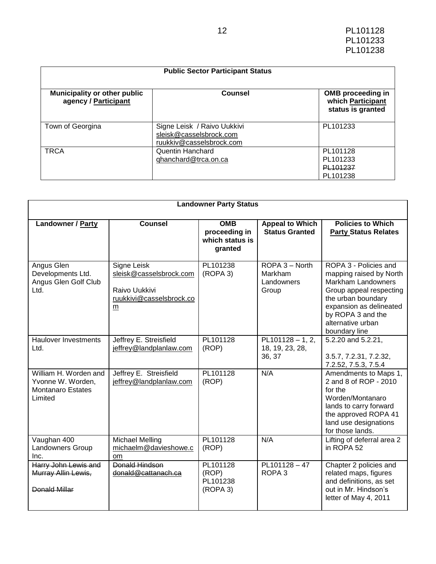| <b>Public Sector Participant Status</b>                     |                                                                                    |                                                                    |  |  |  |
|-------------------------------------------------------------|------------------------------------------------------------------------------------|--------------------------------------------------------------------|--|--|--|
| <b>Municipality or other public</b><br>agency / Participant | Counsel                                                                            | <b>OMB</b> proceeding in<br>which Participant<br>status is granted |  |  |  |
| Town of Georgina                                            | Signe Leisk / Raivo Uukkivi<br>sleisk@casselsbrock.com<br>ruukkiv@casselsbrock.com | PL101233                                                           |  |  |  |
| <b>TRCA</b>                                                 | Quentin Hanchard<br>qhanchard@trca.on.ca                                           | PL101128<br>PL101233<br>PL101237<br>PL101238                       |  |  |  |

| <b>Landowner Party Status</b>                                                     |                                                                                                        |                                                           |                                                  |                                                                                                                                                                                                                      |
|-----------------------------------------------------------------------------------|--------------------------------------------------------------------------------------------------------|-----------------------------------------------------------|--------------------------------------------------|----------------------------------------------------------------------------------------------------------------------------------------------------------------------------------------------------------------------|
| <b>Landowner / Party</b>                                                          | <b>Counsel</b>                                                                                         | <b>OMB</b><br>proceeding in<br>which status is<br>granted | <b>Appeal to Which</b><br><b>Status Granted</b>  | <b>Policies to Which</b><br><b>Party Status Relates</b>                                                                                                                                                              |
| Angus Glen<br>Developments Ltd.<br>Angus Glen Golf Club<br>Ltd.                   | Signe Leisk<br>sleisk@casselsbrock.com<br>Raivo Uukkivi<br>ruukkivi@casselsbrock.co<br>$\underline{m}$ | PL101238<br>(ROPA 3)                                      | ROPA 3 - North<br>Markham<br>Landowners<br>Group | ROPA 3 - Policies and<br>mapping raised by North<br><b>Markham Landowners</b><br>Group appeal respecting<br>the urban boundary<br>expansion as delineated<br>by ROPA 3 and the<br>alternative urban<br>boundary line |
| <b>Haulover Investments</b><br>Ltd.                                               | Jeffrey E. Streisfield<br>jeffrey@landplanlaw.com                                                      | PL101128<br>(ROP)                                         | $PL101128 - 1, 2,$<br>18, 19, 23, 28,<br>36, 37  | 5.2.20 and 5.2.21,<br>3.5.7, 7.2.31, 7.2.32,<br>7.2.52, 7.5.3, 7.5.4                                                                                                                                                 |
| William H. Worden and<br>Yvonne W. Worden,<br><b>Montanaro Estates</b><br>Limited | Jeffrey E. Streisfield<br>jeffrey@landplanlaw.com                                                      | PL101128<br>(ROP)                                         | N/A                                              | Amendments to Maps 1,<br>2 and 8 of ROP - 2010<br>for the<br>Worden/Montanaro<br>lands to carry forward<br>the approved ROPA 41<br>land use designations<br>for those lands.                                         |
| Vaughan 400<br><b>Landowners Group</b><br>Inc.                                    | <b>Michael Melling</b><br>michaelm@davieshowe.c<br>om                                                  | PL101128<br>(ROP)                                         | N/A                                              | Lifting of deferral area 2<br>in ROPA 52                                                                                                                                                                             |
| Harry John Lewis and<br>Murray Allin Lewis,<br>Donald Millar                      | Donald Hindson<br>donald@cattanach.ca                                                                  | PL101128<br>(ROP)<br>PL101238<br>(ROPA 3)                 | PL101128-47<br>ROPA <sub>3</sub>                 | Chapter 2 policies and<br>related maps, figures<br>and definitions, as set<br>out in Mr. Hindson's<br>letter of May 4, 2011                                                                                          |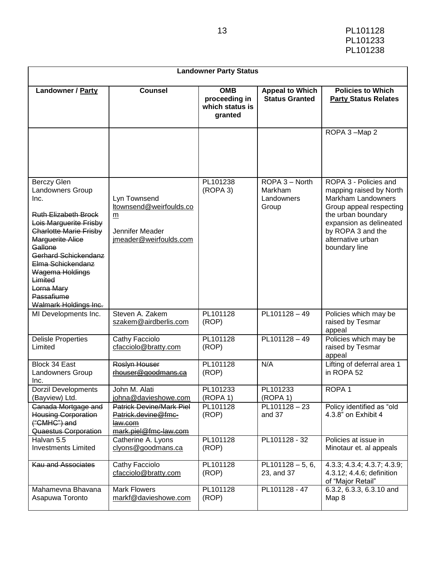| 13 | PL101128 |
|----|----------|
|    | PL101233 |
|    | PL101238 |

| <b>Landowner Party Status</b>                                                                                                                                                                                                                                                                                  |                                                                                            |                                                           |                                                  |                                                                                                                                                                                                                      |
|----------------------------------------------------------------------------------------------------------------------------------------------------------------------------------------------------------------------------------------------------------------------------------------------------------------|--------------------------------------------------------------------------------------------|-----------------------------------------------------------|--------------------------------------------------|----------------------------------------------------------------------------------------------------------------------------------------------------------------------------------------------------------------------|
| Landowner / Party                                                                                                                                                                                                                                                                                              | <b>Counsel</b>                                                                             | <b>OMB</b><br>proceeding in<br>which status is<br>granted | <b>Appeal to Which</b><br><b>Status Granted</b>  | <b>Policies to Which</b><br><b>Party Status Relates</b>                                                                                                                                                              |
|                                                                                                                                                                                                                                                                                                                |                                                                                            |                                                           |                                                  | ROPA 3-Map 2                                                                                                                                                                                                         |
| <b>Berczy Glen</b><br>Landowners Group<br>Inc.<br><b>Ruth Elizabeth Brock</b><br>Lois Marguerite Frisby<br><b>Charlotte Marie Frisby</b><br><b>Marguerite Alice</b><br>Gallone<br>Gerhard Schickendanz<br>Elma Schickendanz<br>Wagema Holdings<br>Limited<br>Lorna Mary<br>Passafiume<br>Walmark Holdings Inc. | Lyn Townsend<br>ltownsend@weirfoulds.co<br>m<br>Jennifer Meader<br>jmeader@weirfoulds.com  | PL101238<br>(ROPA 3)                                      | ROPA 3 - North<br>Markham<br>Landowners<br>Group | ROPA 3 - Policies and<br>mapping raised by North<br><b>Markham Landowners</b><br>Group appeal respecting<br>the urban boundary<br>expansion as delineated<br>by ROPA 3 and the<br>alternative urban<br>boundary line |
| MI Developments Inc.                                                                                                                                                                                                                                                                                           | Steven A. Zakem<br>szakem@airdberlis.com                                                   | PL101128<br>(ROP)                                         | PL101128-49                                      | Policies which may be<br>raised by Tesmar<br>appeal                                                                                                                                                                  |
| <b>Delisle Properties</b><br>Limited                                                                                                                                                                                                                                                                           | Cathy Facciolo<br>cfacciolo@bratty.com                                                     | PL101128<br>(ROP)                                         | PL101128-49                                      | Policies which may be<br>raised by Tesmar<br>appeal                                                                                                                                                                  |
| Block 34 East<br>Landowners Group<br>Inc.                                                                                                                                                                                                                                                                      | Roslyn Houser<br>rhouser@goodmans.ca                                                       | PL101128<br>(ROP)                                         | N/A                                              | Lifting of deferral area 1<br>in ROPA 52                                                                                                                                                                             |
| <b>Dorzil Developments</b><br>(Bayview) Ltd.                                                                                                                                                                                                                                                                   | John M. Alati<br>johna@davieshowe.com                                                      | PL101233<br>(ROPA 1)                                      | PL101233<br>(ROPA 1)                             | ROPA <sub>1</sub>                                                                                                                                                                                                    |
| Canada Mortgage and<br><b>Housing Corporation</b><br>("CMHC") and<br>Quaestus Corporation                                                                                                                                                                                                                      | <b>Patrick Devine/Mark Piel</b><br>Patrick.devine@fmc-<br>law.com<br>mark.piel@fmc-law.com | PL101128<br>(ROP)                                         | PL101128-23<br>and 37                            | Policy identified as "old<br>4.3.8" on Exhibit 4                                                                                                                                                                     |
| Halvan 5.5<br><b>Investments Limited</b>                                                                                                                                                                                                                                                                       | Catherine A. Lyons<br>clyons@goodmans.ca                                                   | PL101128<br>(ROP)                                         | PL101128 - 32                                    | Policies at issue in<br>Minotaur et. al appeals                                                                                                                                                                      |
| Kau and Associates                                                                                                                                                                                                                                                                                             | Cathy Facciolo<br>cfacciolo@bratty.com                                                     | PL101128<br>(ROP)                                         | $PL101128 - 5, 6,$<br>23, and 37                 | 4.3.3; 4.3.4; 4.3.7; 4.3.9;<br>4.3.12; 4.4.6; definition<br>of "Major Retail"                                                                                                                                        |
| Mahamevna Bhavana<br>Asapuwa Toronto                                                                                                                                                                                                                                                                           | <b>Mark Flowers</b><br>markf@davieshowe.com                                                | PL101128<br>(ROP)                                         | PL101128 - 47                                    | $6.3.2, 6.3.3, 6.3.10$ and<br>Map 8                                                                                                                                                                                  |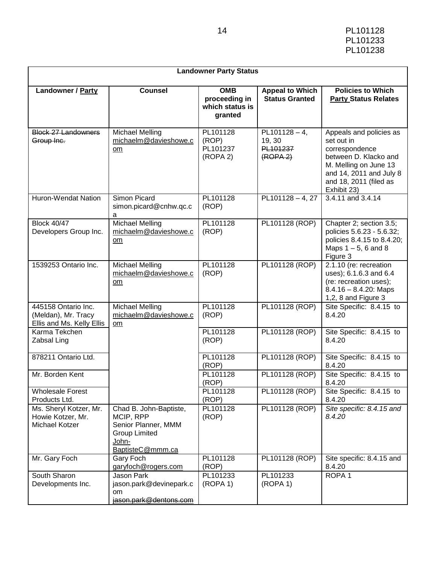| 14 | PL101128 |
|----|----------|
|    | PL101233 |
|    | PL101238 |

|                                                                         | <b>Landowner Party Status</b>                                                                                   |                                                           |                                                                |                                                                                                                                                                               |  |
|-------------------------------------------------------------------------|-----------------------------------------------------------------------------------------------------------------|-----------------------------------------------------------|----------------------------------------------------------------|-------------------------------------------------------------------------------------------------------------------------------------------------------------------------------|--|
| <b>Landowner / Party</b>                                                | <b>Counsel</b>                                                                                                  | <b>OMB</b><br>proceeding in<br>which status is<br>granted | <b>Appeal to Which</b><br><b>Status Granted</b>                | <b>Policies to Which</b><br><b>Party Status Relates</b>                                                                                                                       |  |
| <b>Block 27 Landowners</b><br>Group Inc.                                | <b>Michael Melling</b><br>michaelm@davieshowe.c<br>om                                                           | PL101128<br>(ROP)<br>PL101237<br>(ROPA 2)                 | $PL101128 - 4$ ,<br>19, 30<br>PL101237<br>(ROPA <sub>2</sub> ) | Appeals and policies as<br>set out in<br>correspondence<br>between D. Klacko and<br>M. Melling on June 13<br>and 14, 2011 and July 8<br>and 18, 2011 (filed as<br>Exhibit 23) |  |
| <b>Huron-Wendat Nation</b>                                              | Simon Picard<br>simon.picard@cnhw.qc.c<br>a                                                                     | PL101128<br>(ROP)                                         | $PL101128 - 4, 27$                                             | $3.4.11$ and $3.4.14$                                                                                                                                                         |  |
| <b>Block 40/47</b><br>Developers Group Inc.                             | <b>Michael Melling</b><br>michaelm@davieshowe.c<br>om                                                           | PL101128<br>(ROP)                                         | PL101128 (ROP)                                                 | Chapter 2; section 3.5;<br>policies 5.6.23 - 5.6.32;<br>policies 8.4.15 to 8.4.20;<br>Maps $1 - 5$ , 6 and 8<br>Figure 3                                                      |  |
| 1539253 Ontario Inc.                                                    | <b>Michael Melling</b><br>michaelm@davieshowe.c<br>$om$                                                         | PL101128<br>(ROP)                                         | PL101128 (ROP)                                                 | 2.1.10 (re: recreation<br>uses); 6.1.6.3 and 6.4<br>(re: recreation uses);<br>$8.4.16 - 8.4.20$ : Maps<br>1,2, 8 and Figure 3                                                 |  |
| 445158 Ontario Inc.<br>(Meldan), Mr. Tracy<br>Ellis and Ms. Kelly Ellis | <b>Michael Melling</b><br>michaelm@davieshowe.c<br>om                                                           | PL101128<br>(ROP)                                         | PL101128 (ROP)                                                 | Site Specific: 8.4.15 to<br>8.4.20                                                                                                                                            |  |
| Karma Tekchen<br>Zabsal Ling                                            |                                                                                                                 | PL101128<br>(ROP)                                         | PL101128 (ROP)                                                 | Site Specific: 8.4.15 to<br>8.4.20                                                                                                                                            |  |
| 878211 Ontario Ltd.                                                     |                                                                                                                 | PL101128<br>(ROP)                                         | PL101128 (ROP)                                                 | Site Specific: 8.4.15 to<br>8.4.20                                                                                                                                            |  |
| Mr. Borden Kent                                                         |                                                                                                                 | PL101128<br>(ROP)                                         | PL101128 (ROP)                                                 | Site Specific: 8.4.15 to<br>8.4.20                                                                                                                                            |  |
| <b>Wholesale Forest</b><br>Products Ltd.                                |                                                                                                                 | PL101128<br>(ROP)                                         | PL101128 (ROP)                                                 | Site Specific: 8.4.15 to<br>8.4.20                                                                                                                                            |  |
| Ms. Sheryl Kotzer, Mr.<br>Howie Kotzer, Mr.<br>Michael Kotzer           | Chad B. John-Baptiste,<br>MCIP, RPP<br>Senior Planner, MMM<br><b>Group Limited</b><br>John-<br>BaptisteC@mmm.ca | PL101128<br>(ROP)                                         | PL101128 (ROP)                                                 | Site specific: 8.4.15 and<br>8.4.20                                                                                                                                           |  |
| Mr. Gary Foch                                                           | Gary Foch<br>garyfoch@rogers.com                                                                                | PL101128<br>(ROP)                                         | PL101128 (ROP)                                                 | Site specific: 8.4.15 and<br>8.4.20                                                                                                                                           |  |
| South Sharon<br>Developments Inc.                                       | Jason Park<br>jason.park@devinepark.c<br>om.<br>jason.park@dentons.com                                          | PL101233<br>(ROPA 1)                                      | PL101233<br>(ROPA 1)                                           | ROPA <sub>1</sub>                                                                                                                                                             |  |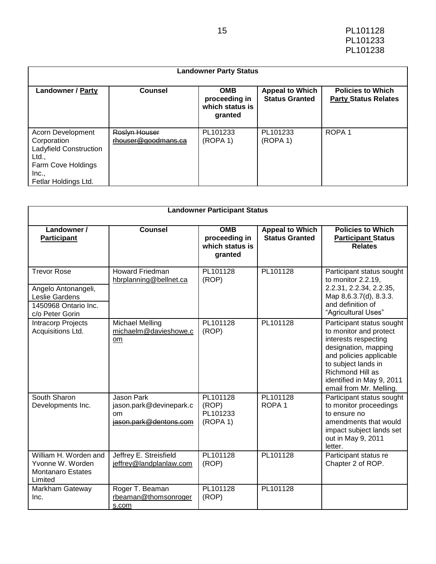|                                                                                                                            | <b>Landowner Party Status</b>        |                                                           |                                                 |                                                         |  |  |
|----------------------------------------------------------------------------------------------------------------------------|--------------------------------------|-----------------------------------------------------------|-------------------------------------------------|---------------------------------------------------------|--|--|
| <b>Landowner / Party</b>                                                                                                   | <b>Counsel</b>                       | <b>OMB</b><br>proceeding in<br>which status is<br>granted | <b>Appeal to Which</b><br><b>Status Granted</b> | <b>Policies to Which</b><br><b>Party Status Relates</b> |  |  |
| Acorn Development<br>Corporation<br>Ladyfield Construction<br>Ltd.,<br>Farm Cove Holdings<br>Inc.,<br>Fetlar Holdings Ltd. | Roslyn Houser<br>rhouser@goodmans.ca | PL101233<br>(ROPA 1)                                      | PL101233<br>(ROPA 1)                            | ROPA <sub>1</sub>                                       |  |  |

| <b>Landowner Participant Status</b>                                                                    |                                                                               |                                                           |                                                 |                                                                                                                                                                                                                                   |
|--------------------------------------------------------------------------------------------------------|-------------------------------------------------------------------------------|-----------------------------------------------------------|-------------------------------------------------|-----------------------------------------------------------------------------------------------------------------------------------------------------------------------------------------------------------------------------------|
| Landowner /<br><b>Participant</b>                                                                      | <b>Counsel</b>                                                                | <b>OMB</b><br>proceeding in<br>which status is<br>granted | <b>Appeal to Which</b><br><b>Status Granted</b> | <b>Policies to Which</b><br><b>Participant Status</b><br><b>Relates</b>                                                                                                                                                           |
| <b>Trevor Rose</b><br>Angelo Antonangeli,<br>Leslie Gardens<br>1450968 Ontario Inc.<br>c/o Peter Gorin | <b>Howard Friedman</b><br>hbrplanning@bellnet.ca                              | PL101128<br>(ROP)                                         | PL101128                                        | Participant status sought<br>to monitor 2.2.19,<br>2.2.31, 2.2.34, 2.2.35,<br>Map 8,6.3.7(d), 8.3.3.<br>and definition of<br>"Agricultural Uses"                                                                                  |
| <b>Intracorp Projects</b><br>Acquisitions Ltd.                                                         | <b>Michael Melling</b><br>michaelm@davieshowe.c<br>om                         | PL101128<br>(ROP)                                         | PL101128                                        | Participant status sought<br>to monitor and protect<br>interests respecting<br>designation, mapping<br>and policies applicable<br>to subject lands in<br>Richmond Hill as<br>identified in May 9, 2011<br>email from Mr. Melling. |
| South Sharon<br>Developments Inc.                                                                      | <b>Jason Park</b><br>jason.park@devinepark.c<br>om.<br>jason.park@dentons.com | PL101128<br>(ROP)<br>PL101233<br>(ROPA 1)                 | PL101128<br>ROPA <sub>1</sub>                   | Participant status sought<br>to monitor proceedings<br>to ensure no<br>amendments that would<br>impact subject lands set<br>out in May 9, 2011<br>letter.                                                                         |
| William H. Worden and<br>Yvonne W. Worden<br><b>Montanaro Estates</b><br>Limited                       | Jeffrey E. Streisfield<br>jeffrey@landplanlaw.com                             | PL101128<br>(ROP)                                         | PL101128                                        | Participant status re<br>Chapter 2 of ROP.                                                                                                                                                                                        |
| Markham Gateway<br>Inc.                                                                                | Roger T. Beaman<br>rbeaman@thomsonroger<br>s.com                              | PL101128<br>(ROP)                                         | PL101128                                        |                                                                                                                                                                                                                                   |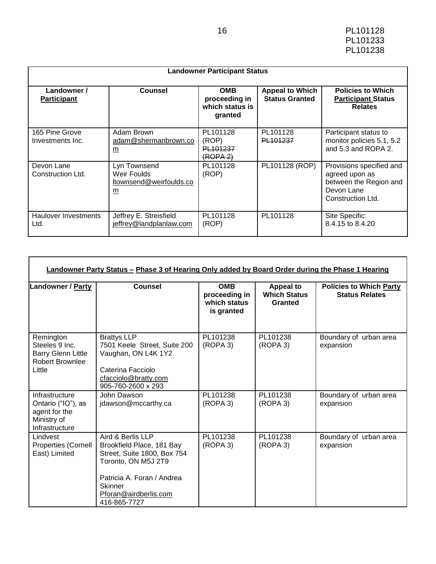| <b>Landowner Participant Status</b> |                                                             |                                                           |                                                 |                                                                                                         |  |
|-------------------------------------|-------------------------------------------------------------|-----------------------------------------------------------|-------------------------------------------------|---------------------------------------------------------------------------------------------------------|--|
| Landowner /<br><b>Participant</b>   | <b>Counsel</b>                                              | <b>OMB</b><br>proceeding in<br>which status is<br>granted | <b>Appeal to Which</b><br><b>Status Granted</b> | <b>Policies to Which</b><br><b>Participant Status</b><br><b>Relates</b>                                 |  |
| 165 Pine Grove<br>Investments Inc.  | Adam Brown<br>adam@shermanbrown.co<br>$\underline{m}$       | PL101128<br>(ROP)<br>PL101237<br><del>(ROPA 2)</del>      | PL101128<br>PL101237                            | Participant status to<br>monitor policies 5.1, 5.2<br>and 5.3 and ROPA 2.                               |  |
| Devon Lane<br>Construction Ltd.     | Lyn Townsend<br>Weir Foulds<br>ltownsend@weirfoulds.co<br>m | PL101128<br>(ROP)                                         | PL101128 (ROP)                                  | Provisions specified and<br>agreed upon as<br>between the Region and<br>Devon Lane<br>Construction Ltd. |  |
| Haulover Investments<br>Ltd.        | Jeffrey E. Streisfield<br>jeffrey@landplanlaw.com           | PL101128<br>(ROP)                                         | PL101128                                        | Site Specific:<br>8.4.15 to 8.4.20                                                                      |  |

 $\mathbf{r}$ 

| <b>Landowner / Party</b>                                                                     | <b>Counsel</b>                                                                                                                                                                                | <b>OMB</b><br>proceeding in<br>which status<br>is granted | <b>Appeal to</b><br><b>Which Status</b><br>Granted | <b>Policies to Which Party</b><br><b>Status Relates</b> |
|----------------------------------------------------------------------------------------------|-----------------------------------------------------------------------------------------------------------------------------------------------------------------------------------------------|-----------------------------------------------------------|----------------------------------------------------|---------------------------------------------------------|
| Remington<br>Steeles 9 Inc.<br><b>Barry Glenn Little</b><br><b>Robert Brownlee</b><br>Little | <b>Brattys LLP</b><br>7501 Keele Street, Suite 200<br>Vaughan, ON L4K 1Y2<br>Caterina Facciolo<br>cfacciolo@bratty.com<br>905-760-2600 x 293                                                  | PL101238<br>(ROPA 3)                                      | PL101238<br>(ROPA 3)                               | Boundary of urban area<br>expansion                     |
| Infrastructure<br>Ontario ("IO"), as<br>agent for the<br>Ministry of<br>Infrastructure       | John Dawson<br>jdawson@mccarthy.ca                                                                                                                                                            | PL101238<br>(ROPA 3)                                      | PL101238<br>(ROPA 3)                               | Boundary of urban area<br>expansion                     |
| Lindvest<br>Properties (Cornell<br>East) Limited                                             | Aird & Berlis LLP<br>Brookfield Place, 181 Bay<br>Street, Suite 1800, Box 754<br>Toronto, ON M5J 2T9<br>Patricia A. Foran / Andrea<br><b>Skinner</b><br>Pforan@airdberlis.com<br>416-865-7727 | PL101238<br>(ROPA 3)                                      | PL101238<br>(ROPA 3)                               | Boundary of urban area<br>expansion                     |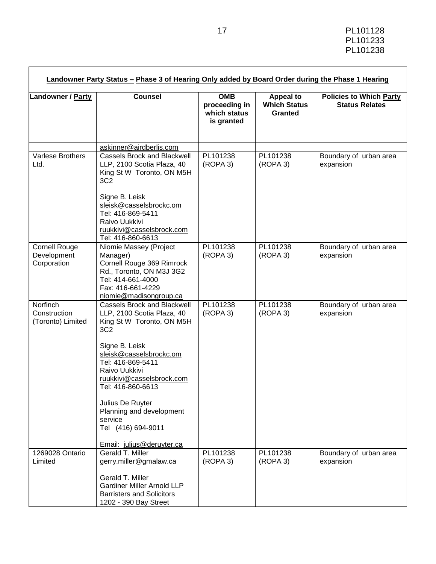| Landowner / Party                                  | <b>Counsel</b>                                                                                                                                                                                                                                                                                                                         | <b>OMB</b><br>proceeding in<br>which status<br>is granted | <b>Appeal to</b><br><b>Which Status</b><br>Granted | <b>Policies to Which Party</b><br><b>Status Relates</b> |  |
|----------------------------------------------------|----------------------------------------------------------------------------------------------------------------------------------------------------------------------------------------------------------------------------------------------------------------------------------------------------------------------------------------|-----------------------------------------------------------|----------------------------------------------------|---------------------------------------------------------|--|
|                                                    | askinner@airdberlis.com                                                                                                                                                                                                                                                                                                                |                                                           |                                                    |                                                         |  |
| Varlese Brothers<br>Ltd.                           | <b>Cassels Brock and Blackwell</b><br>LLP, 2100 Scotia Plaza, 40<br>King St W Toronto, ON M5H<br>3C <sub>2</sub>                                                                                                                                                                                                                       | PL101238<br>(ROPA 3)                                      | PL101238<br>(ROPA 3)                               | Boundary of urban area<br>expansion                     |  |
|                                                    | Signe B. Leisk<br>sleisk@casselsbrockc.om<br>Tel: 416-869-5411<br>Raivo Uukkivi<br>ruukkivi@casselsbrock.com<br>Tel: 416-860-6613                                                                                                                                                                                                      |                                                           |                                                    |                                                         |  |
| <b>Cornell Rouge</b><br>Development<br>Corporation | Niomie Massey (Project<br>Manager)<br>Cornell Rouge 369 Rimrock<br>Rd., Toronto, ON M3J 3G2<br>Tel: 414-661-4000<br>Fax: 416-661-4229<br>niomie@madisongroup.ca                                                                                                                                                                        | PL101238<br>(ROPA 3)                                      | PL101238<br>(ROPA 3)                               | Boundary of urban area<br>expansion                     |  |
| Norfinch<br>Construction<br>(Toronto) Limited      | <b>Cassels Brock and Blackwell</b><br>LLP, 2100 Scotia Plaza, 40<br>King St W Toronto, ON M5H<br>3C <sub>2</sub><br>Signe B. Leisk<br>sleisk@casselsbrockc.om<br>Tel: 416-869-5411<br>Raivo Uukkivi<br>ruukkivi@casselsbrock.com<br>Tel: 416-860-6613<br>Julius De Ruyter<br>Planning and development<br>service<br>Tel (416) 694-9011 | PL101238<br>(ROPA 3)                                      | PL101238<br>(ROPA 3)                               | Boundary of urban area<br>expansion                     |  |
|                                                    | Email: julius@deruyter.ca                                                                                                                                                                                                                                                                                                              |                                                           |                                                    |                                                         |  |
| 1269028 Ontario<br>Limited                         | Gerald T. Miller<br>gerry.miller@gmalaw.ca                                                                                                                                                                                                                                                                                             | PL101238<br>(ROPA 3)                                      | PL101238<br>(ROPA 3)                               | Boundary of urban area<br>expansion                     |  |
|                                                    | Gerald T. Miller<br><b>Gardiner Miller Arnold LLP</b><br><b>Barristers and Solicitors</b><br>1202 - 390 Bay Street                                                                                                                                                                                                                     |                                                           |                                                    |                                                         |  |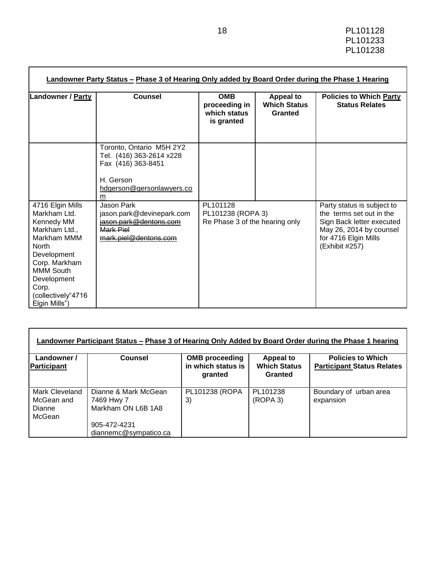| <b>Landowner / Party</b>                                                                                                                                                                                   | Counsel                                                                                                                   | <b>OMB</b><br>proceeding in<br>which status<br>is granted       | <b>Appeal to</b><br><b>Which Status</b><br>Granted | <b>Policies to Which Party</b><br><b>Status Relates</b>                                                                                                  |
|------------------------------------------------------------------------------------------------------------------------------------------------------------------------------------------------------------|---------------------------------------------------------------------------------------------------------------------------|-----------------------------------------------------------------|----------------------------------------------------|----------------------------------------------------------------------------------------------------------------------------------------------------------|
|                                                                                                                                                                                                            | Toronto, Ontario M5H 2Y2<br>Tel. (416) 363-2614 x228<br>Fax (416) 363-8451<br>H. Gerson<br>hdgerson@gersonlawyers.co<br>m |                                                                 |                                                    |                                                                                                                                                          |
| 4716 Elgin Mills<br>Markham Ltd.<br>Kennedy MM<br>Markham Ltd.,<br>Markham MMM<br>North<br>Development<br>Corp. Markham<br><b>MMM South</b><br>Development<br>Corp.<br>(collectively"4716<br>Elgin Mills") | Jason Park<br>jason.park@devinepark.com<br>jason.park@dentons.com<br>Mark Piel<br>mark.piel@dentons.com                   | PL101128<br>PL101238 (ROPA 3)<br>Re Phase 3 of the hearing only |                                                    | Party status is subject to<br>the terms set out in the<br>Sign Back letter executed<br>May 26, 2014 by counsel<br>for 4716 Elgin Mills<br>(Exhibit #257) |

| Landowner /<br>Participant                       | <b>Counsel</b>                                           | <b>OMB</b> proceeding<br>in which status is<br>granted | <b>Appeal to</b><br><b>Which Status</b><br>Granted | <b>Policies to Which</b><br><b>Participant Status Relates</b> |
|--------------------------------------------------|----------------------------------------------------------|--------------------------------------------------------|----------------------------------------------------|---------------------------------------------------------------|
| Mark Cleveland<br>McGean and<br>Dianne<br>McGean | Dianne & Mark McGean<br>7469 Hwy 7<br>Markham ON L6B 1A8 | PL101238 (ROPA<br>3)                                   | PL101238<br>(ROPA 3)                               | Boundary of urban area<br>expansion                           |
|                                                  | 905-472-4231<br>diannemc@sympatico.ca                    |                                                        |                                                    |                                                               |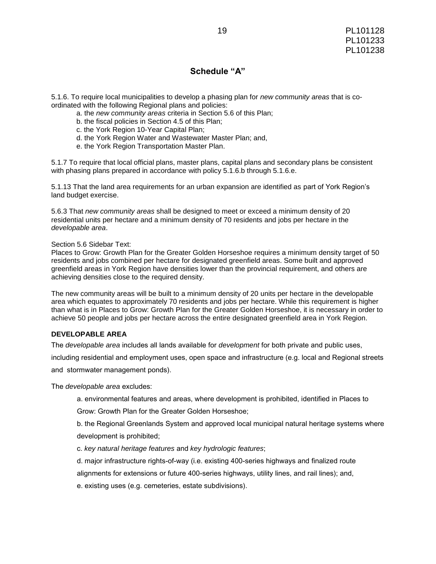#### **Schedule "A"**

5.1.6. To require local municipalities to develop a phasing plan for *new community areas* that is coordinated with the following Regional plans and policies:

- a. the *new community areas* criteria in Section 5.6 of this Plan;
- b. the fiscal policies in Section 4.5 of this Plan;
- c. the York Region 10-Year Capital Plan;
- d. the York Region Water and Wastewater Master Plan; and,
- e. the York Region Transportation Master Plan.

5.1.7 To require that local official plans, master plans, capital plans and secondary plans be consistent with phasing plans prepared in accordance with policy 5.1.6.b through 5.1.6.e.

5.1.13 That the land area requirements for an urban expansion are identified as part of York Region's land budget exercise.

5.6.3 That *new community areas* shall be designed to meet or exceed a minimum density of 20 residential units per hectare and a minimum density of 70 residents and jobs per hectare in the *developable area*.

Section 5.6 Sidebar Text:

Places to Grow: Growth Plan for the Greater Golden Horseshoe requires a minimum density target of 50 residents and jobs combined per hectare for designated greenfield areas. Some built and approved greenfield areas in York Region have densities lower than the provincial requirement, and others are achieving densities close to the required density.

The new community areas will be built to a minimum density of 20 units per hectare in the developable area which equates to approximately 70 residents and jobs per hectare. While this requirement is higher than what is in Places to Grow: Growth Plan for the Greater Golden Horseshoe, it is necessary in order to achieve 50 people and jobs per hectare across the entire designated greenfield area in York Region.

#### **DEVELOPABLE AREA**

The *developable area* includes all lands available for *development* for both private and public uses,

including residential and employment uses, open space and infrastructure (e.g. local and Regional streets

and stormwater management ponds).

The *developable area* excludes:

a. environmental features and areas, where development is prohibited, identified in Places to

Grow: Growth Plan for the Greater Golden Horseshoe;

b. the Regional Greenlands System and approved local municipal natural heritage systems where development is prohibited;

c. *key natural heritage features* and *key hydrologic features*;

d. major infrastructure rights-of-way (i.e. existing 400-series highways and finalized route

alignments for extensions or future 400-series highways, utility lines, and rail lines); and,

e. existing uses (e.g. cemeteries, estate subdivisions).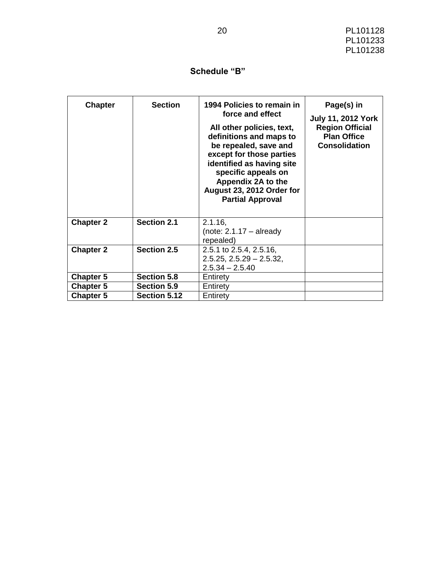### 20 PL101128 PL101233 PL101238

# **Schedule "B"**

| <b>Chapter</b>   | <b>Section</b>      | 1994 Policies to remain in<br>force and effect<br>All other policies, text,<br>definitions and maps to<br>be repealed, save and<br>except for those parties<br>identified as having site<br>specific appeals on<br>Appendix 2A to the<br>August 23, 2012 Order for<br><b>Partial Approval</b> | Page(s) in<br><b>July 11, 2012 York</b><br><b>Region Official</b><br><b>Plan Office</b><br><b>Consolidation</b> |
|------------------|---------------------|-----------------------------------------------------------------------------------------------------------------------------------------------------------------------------------------------------------------------------------------------------------------------------------------------|-----------------------------------------------------------------------------------------------------------------|
| <b>Chapter 2</b> | <b>Section 2.1</b>  | $2.1.16$ ,<br>(note: $2.1.17 -$ already<br>repealed)                                                                                                                                                                                                                                          |                                                                                                                 |
| <b>Chapter 2</b> | Section 2.5         | 2.5.1 to 2.5.4, 2.5.16,                                                                                                                                                                                                                                                                       |                                                                                                                 |
|                  |                     | $2.5.25, 2.5.29 - 2.5.32,$<br>$2.5.34 - 2.5.40$                                                                                                                                                                                                                                               |                                                                                                                 |
| <b>Chapter 5</b> | Section 5.8         | Entirety                                                                                                                                                                                                                                                                                      |                                                                                                                 |
| <b>Chapter 5</b> | <b>Section 5.9</b>  | Entirety                                                                                                                                                                                                                                                                                      |                                                                                                                 |
| <b>Chapter 5</b> | <b>Section 5.12</b> | Entirety                                                                                                                                                                                                                                                                                      |                                                                                                                 |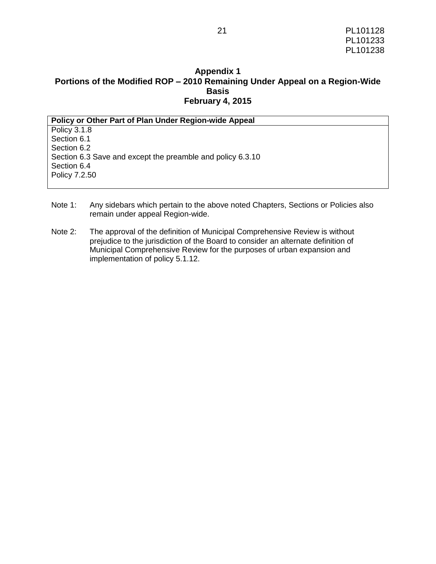### **Appendix 1 Portions of the Modified ROP – 2010 Remaining Under Appeal on a Region-Wide Basis February 4, 2015**

| Policy or Other Part of Plan Under Region-wide Appeal      |
|------------------------------------------------------------|
| Policy 3.1.8                                               |
| Section 6.1                                                |
| Section 6.2                                                |
| Section 6.3 Save and except the preamble and policy 6.3.10 |
| Section 6.4                                                |
| Policy 7.2.50                                              |
|                                                            |

- Note 1: Any sidebars which pertain to the above noted Chapters, Sections or Policies also remain under appeal Region-wide.
- Note 2: The approval of the definition of Municipal Comprehensive Review is without prejudice to the jurisdiction of the Board to consider an alternate definition of Municipal Comprehensive Review for the purposes of urban expansion and implementation of policy 5.1.12.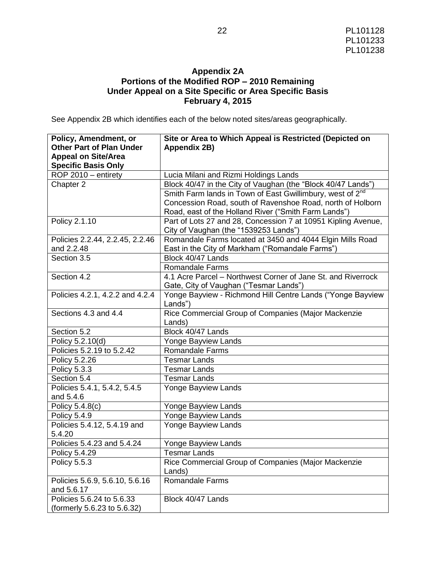### **Appendix 2A Portions of the Modified ROP – 2010 Remaining Under Appeal on a Site Specific or Area Specific Basis February 4, 2015**

See Appendix 2B which identifies each of the below noted sites/areas geographically.

| Policy, Amendment, or<br><b>Other Part of Plan Under</b> | Site or Area to Which Appeal is Restricted (Depicted on<br>Appendix 2B) |
|----------------------------------------------------------|-------------------------------------------------------------------------|
| <b>Appeal on Site/Area</b>                               |                                                                         |
| <b>Specific Basis Only</b>                               |                                                                         |
| ROP 2010 - entirety                                      | Lucia Milani and Rizmi Holdings Lands                                   |
| Chapter 2                                                | Block 40/47 in the City of Vaughan (the "Block 40/47 Lands")            |
|                                                          | Smith Farm lands in Town of East Gwillimbury, west of 2 <sup>nd</sup>   |
|                                                          | Concession Road, south of Ravenshoe Road, north of Holborn              |
|                                                          | Road, east of the Holland River ("Smith Farm Lands")                    |
| Policy 2.1.10                                            | Part of Lots 27 and 28, Concession 7 at 10951 Kipling Avenue,           |
|                                                          | City of Vaughan (the "1539253 Lands")                                   |
| Policies 2.2.44, 2.2.45, 2.2.46                          | Romandale Farms located at 3450 and 4044 Elgin Mills Road               |
| and 2.2.48                                               | East in the City of Markham ("Romandale Farms")                         |
| Section 3.5                                              | Block 40/47 Lands                                                       |
|                                                          | <b>Romandale Farms</b>                                                  |
| Section 4.2                                              | 4.1 Acre Parcel – Northwest Corner of Jane St. and Riverrock            |
|                                                          | Gate, City of Vaughan ("Tesmar Lands")                                  |
| Policies 4.2.1, 4.2.2 and 4.2.4                          | Yonge Bayview - Richmond Hill Centre Lands ("Yonge Bayview              |
|                                                          | Lands")                                                                 |
| Sections 4.3 and 4.4                                     | Rice Commercial Group of Companies (Major Mackenzie                     |
|                                                          | Lands)                                                                  |
| Section 5.2                                              | Block 40/47 Lands                                                       |
| Policy 5.2.10(d)                                         | Yonge Bayview Lands                                                     |
| Policies 5.2.19 to 5.2.42                                | <b>Romandale Farms</b>                                                  |
| Policy 5.2.26                                            | <b>Tesmar Lands</b>                                                     |
| Policy 5.3.3                                             | <b>Tesmar Lands</b>                                                     |
| Section 5.4                                              | <b>Tesmar Lands</b>                                                     |
| Policies 5.4.1, 5.4.2, 5.4.5                             | Yonge Bayview Lands                                                     |
| and 5.4.6                                                |                                                                         |
| Policy 5.4.8(c)<br>Policy 5.4.9                          | Yonge Bayview Lands<br>Yonge Bayview Lands                              |
|                                                          | Yonge Bayview Lands                                                     |
| Policies 5.4.12, 5.4.19 and<br>5.4.20                    |                                                                         |
| Policies 5.4.23 and 5.4.24                               | Yonge Bayview Lands                                                     |
| Policy 5.4.29                                            | Tesmar Lands                                                            |
| Policy 5.5.3                                             | Rice Commercial Group of Companies (Major Mackenzie                     |
|                                                          | Lands)                                                                  |
| Policies 5.6.9, 5.6.10, 5.6.16                           | <b>Romandale Farms</b>                                                  |
| and 5.6.17                                               |                                                                         |
| Policies 5.6.24 to 5.6.33                                | Block 40/47 Lands                                                       |
| (formerly 5.6.23 to 5.6.32)                              |                                                                         |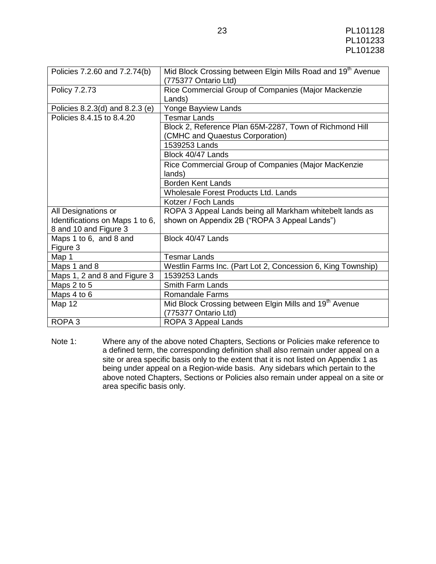| Policies 7.2.60 and 7.2.74(b)   | Mid Block Crossing between Elgin Mills Road and 19 <sup>th</sup> Avenue<br>(775377 Ontario Ltd) |
|---------------------------------|-------------------------------------------------------------------------------------------------|
| Policy 7.2.73                   | Rice Commercial Group of Companies (Major Mackenzie                                             |
|                                 | Lands)                                                                                          |
| Policies 8.2.3(d) and 8.2.3 (e) | Yonge Bayview Lands                                                                             |
| Policies 8.4.15 to 8.4.20       | <b>Tesmar Lands</b>                                                                             |
|                                 | Block 2, Reference Plan 65M-2287, Town of Richmond Hill                                         |
|                                 | (CMHC and Quaestus Corporation)                                                                 |
|                                 | 1539253 Lands                                                                                   |
|                                 | Block 40/47 Lands                                                                               |
|                                 | Rice Commercial Group of Companies (Major MacKenzie                                             |
|                                 | lands)                                                                                          |
|                                 | Borden Kent Lands                                                                               |
|                                 | <b>Wholesale Forest Products Ltd. Lands</b>                                                     |
|                                 | Kotzer / Foch Lands                                                                             |
| All Designations or             | ROPA 3 Appeal Lands being all Markham whitebelt lands as                                        |
| Identifications on Maps 1 to 6, | shown on Appendix 2B ("ROPA 3 Appeal Lands")                                                    |
| 8 and 10 and Figure 3           |                                                                                                 |
| Maps 1 to 6, and 8 and          | Block 40/47 Lands                                                                               |
| Figure 3                        |                                                                                                 |
| Map 1                           | <b>Tesmar Lands</b>                                                                             |
| Maps 1 and 8                    | Westlin Farms Inc. (Part Lot 2, Concession 6, King Township)                                    |
| Maps 1, 2 and 8 and Figure 3    | 1539253 Lands                                                                                   |
| Maps 2 to 5                     | <b>Smith Farm Lands</b>                                                                         |
| Maps 4 to 6                     | Romandale Farms                                                                                 |
| Map 12                          | Mid Block Crossing between Elgin Mills and 19 <sup>th</sup> Avenue                              |
|                                 | (775377 Ontario Ltd)                                                                            |
| ROPA <sub>3</sub>               | ROPA 3 Appeal Lands                                                                             |

Note 1: Where any of the above noted Chapters, Sections or Policies make reference to a defined term, the corresponding definition shall also remain under appeal on a site or area specific basis only to the extent that it is not listed on Appendix 1 as being under appeal on a Region-wide basis. Any sidebars which pertain to the above noted Chapters, Sections or Policies also remain under appeal on a site or area specific basis only.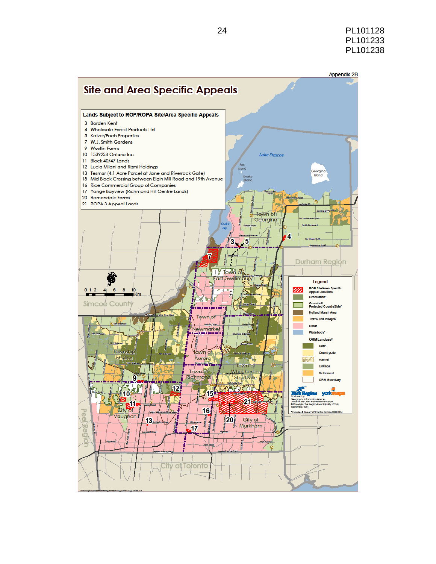